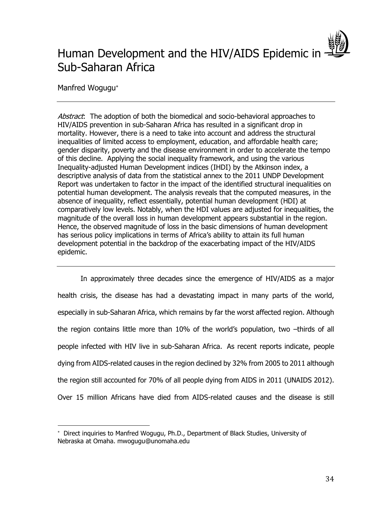# Human Development and the HIV/AIDS Epidemic in -Sub-Saharan Africa

Manfred Wogugu\*

 $\overline{a}$ 

Abstract: The adoption of both the biomedical and socio-behavioral approaches to HIV/AIDS prevention in sub-Saharan Africa has resulted in a significant drop in mortality. However, there is a need to take into account and address the structural inequalities of limited access to employment, education, and affordable health care; gender disparity, poverty and the disease environment in order to accelerate the tempo of this decline. Applying the social inequality framework, and using the various Inequality-adjusted Human Development indices (IHDI) by the Atkinson index, a descriptive analysis of data from the statistical annex to the 2011 UNDP Development Report was undertaken to factor in the impact of the identified structural inequalities on potential human development. The analysis reveals that the computed measures, in the absence of inequality, reflect essentially, potential human development (HDI) at comparatively low levels. Notably, when the HDI values are adjusted for inequalities, the magnitude of the overall loss in human development appears substantial in the region. Hence, the observed magnitude of loss in the basic dimensions of human development has serious policy implications in terms of Africa's ability to attain its full human development potential in the backdrop of the exacerbating impact of the HIV/AIDS epidemic.

In approximately three decades since the emergence of HIV/AIDS as a major health crisis, the disease has had a devastating impact in many parts of the world, especially in sub-Saharan Africa, which remains by far the worst affected region. Although the region contains little more than 10% of the world's population, two –thirds of all people infected with HIV live in sub-Saharan Africa. As recent reports indicate, people dying from AIDS-related causes in the region declined by 32% from 2005 to 2011 although the region still accounted for 70% of all people dying from AIDS in 2011 (UNAIDS 2012). Over 15 million Africans have died from AIDS-related causes and the disease is still

 Direct inquiries to Manfred Wogugu, Ph.D., Department of Black Studies, University of Nebraska at Omaha. mwogugu@unomaha.edu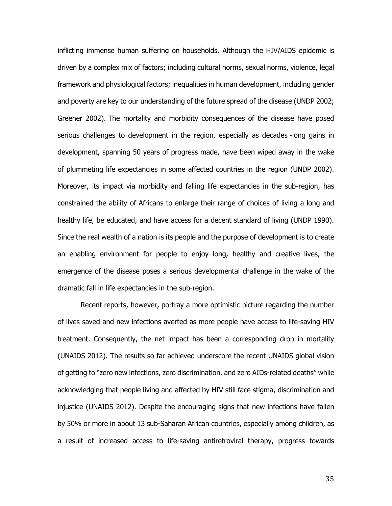inflicting immense human suffering on households. Although the HIV/AIDS epidemic is driven by a complex mix of factors; including cultural norms, sexual norms, violence, legal framework and physiological factors; inequalities in human development, including gender and poverty are key to our understanding of the future spread of the disease (UNDP 2002; Greener 2002). The mortality and morbidity consequences of the disease have posed serious challenges to development in the region, especially as decades -long gains in development, spanning 50 years of progress made, have been wiped away in the wake of plummeting life expectancies in some affected countries in the region (UNDP 2002). Moreover, its impact via morbidity and falling life expectancies in the sub-region, has constrained the ability of Africans to enlarge their range of choices of living a long and healthy life, be educated, and have access for a decent standard of living (UNDP 1990). Since the real wealth of a nation is its people and the purpose of development is to create an enabling environment for people to enjoy long, healthy and creative lives, the emergence of the disease poses a serious developmental challenge in the wake of the dramatic fall in life expectancies in the sub-region.

Recent reports, however, portray a more optimistic picture regarding the number of lives saved and new infections averted as more people have access to life-saving HIV treatment. Consequently, the net impact has been a corresponding drop in mortality (UNAIDS 2012). The results so far achieved underscore the recent UNAIDS global vision of getting to "zero new infections, zero discrimination, and zero AIDs-related deaths" while acknowledging that people living and affected by HIV still face stigma, discrimination and injustice (UNAIDS 2012). Despite the encouraging signs that new infections have fallen by 50% or more in about 13 sub-Saharan African countries, especially among children, as a result of increased access to life-saving antiretroviral therapy, progress towards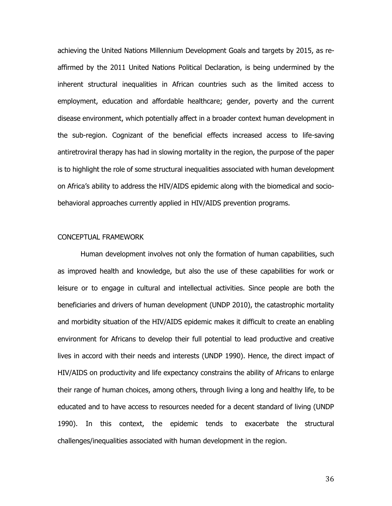achieving the United Nations Millennium Development Goals and targets by 2015, as reaffirmed by the 2011 United Nations Political Declaration, is being undermined by the inherent structural inequalities in African countries such as the limited access to employment, education and affordable healthcare; gender, poverty and the current disease environment, which potentially affect in a broader context human development in the sub-region. Cognizant of the beneficial effects increased access to life-saving antiretroviral therapy has had in slowing mortality in the region, the purpose of the paper is to highlight the role of some structural inequalities associated with human development on Africa's ability to address the HIV/AIDS epidemic along with the biomedical and sociobehavioral approaches currently applied in HIV/AIDS prevention programs.

## CONCEPTUAL FRAMEWORK

Human development involves not only the formation of human capabilities, such as improved health and knowledge, but also the use of these capabilities for work or leisure or to engage in cultural and intellectual activities. Since people are both the beneficiaries and drivers of human development (UNDP 2010), the catastrophic mortality and morbidity situation of the HIV/AIDS epidemic makes it difficult to create an enabling environment for Africans to develop their full potential to lead productive and creative lives in accord with their needs and interests (UNDP 1990). Hence, the direct impact of HIV/AIDS on productivity and life expectancy constrains the ability of Africans to enlarge their range of human choices, among others, through living a long and healthy life, to be educated and to have access to resources needed for a decent standard of living (UNDP 1990). In this context, the epidemic tends to exacerbate the structural challenges/inequalities associated with human development in the region.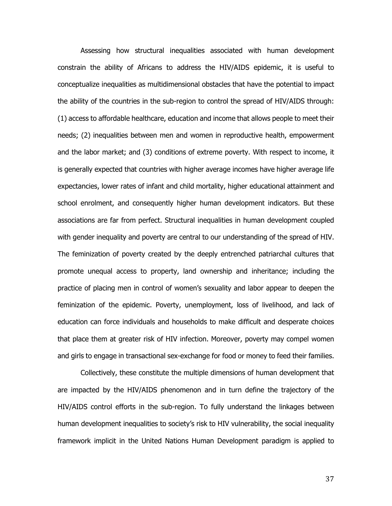Assessing how structural inequalities associated with human development constrain the ability of Africans to address the HIV/AIDS epidemic, it is useful to conceptualize inequalities as multidimensional obstacles that have the potential to impact the ability of the countries in the sub-region to control the spread of HIV/AIDS through: (1) access to affordable healthcare, education and income that allows people to meet their needs; (2) inequalities between men and women in reproductive health, empowerment and the labor market; and (3) conditions of extreme poverty. With respect to income, it is generally expected that countries with higher average incomes have higher average life expectancies, lower rates of infant and child mortality, higher educational attainment and school enrolment, and consequently higher human development indicators. But these associations are far from perfect. Structural inequalities in human development coupled with gender inequality and poverty are central to our understanding of the spread of HIV. The feminization of poverty created by the deeply entrenched patriarchal cultures that promote unequal access to property, land ownership and inheritance; including the practice of placing men in control of women's sexuality and labor appear to deepen the feminization of the epidemic. Poverty, unemployment, loss of livelihood, and lack of education can force individuals and households to make difficult and desperate choices that place them at greater risk of HIV infection. Moreover, poverty may compel women and girls to engage in transactional sex-exchange for food or money to feed their families.

Collectively, these constitute the multiple dimensions of human development that are impacted by the HIV/AIDS phenomenon and in turn define the trajectory of the HIV/AIDS control efforts in the sub-region. To fully understand the linkages between human development inequalities to society's risk to HIV vulnerability, the social inequality framework implicit in the United Nations Human Development paradigm is applied to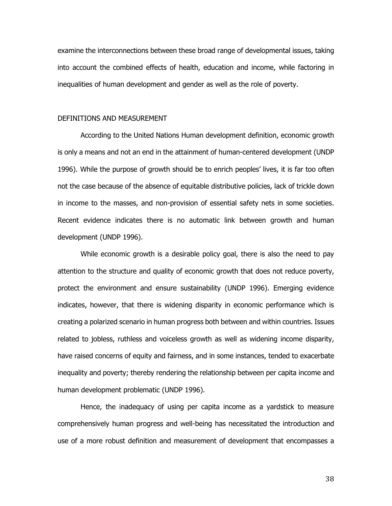examine the interconnections between these broad range of developmental issues, taking into account the combined effects of health, education and income, while factoring in inequalities of human development and gender as well as the role of poverty.

#### DEFINITIONS AND MEASUREMENT

According to the United Nations Human development definition, economic growth is only a means and not an end in the attainment of human-centered development (UNDP 1996). While the purpose of growth should be to enrich peoples' lives, it is far too often not the case because of the absence of equitable distributive policies, lack of trickle down in income to the masses, and non-provision of essential safety nets in some societies. Recent evidence indicates there is no automatic link between growth and human development (UNDP 1996).

While economic growth is a desirable policy goal, there is also the need to pay attention to the structure and quality of economic growth that does not reduce poverty, protect the environment and ensure sustainability (UNDP 1996). Emerging evidence indicates, however, that there is widening disparity in economic performance which is creating a polarized scenario in human progress both between and within countries. Issues related to jobless, ruthless and voiceless growth as well as widening income disparity, have raised concerns of equity and fairness, and in some instances, tended to exacerbate inequality and poverty; thereby rendering the relationship between per capita income and human development problematic (UNDP 1996).

Hence, the inadequacy of using per capita income as a yardstick to measure comprehensively human progress and well-being has necessitated the introduction and use of a more robust definition and measurement of development that encompasses a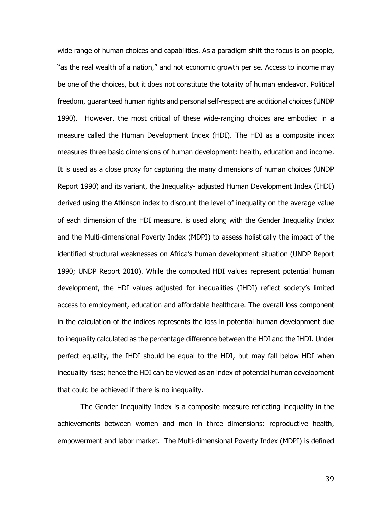wide range of human choices and capabilities. As a paradigm shift the focus is on people, "as the real wealth of a nation," and not economic growth per se. Access to income may be one of the choices, but it does not constitute the totality of human endeavor. Political freedom, guaranteed human rights and personal self-respect are additional choices (UNDP 1990). However, the most critical of these wide-ranging choices are embodied in a measure called the Human Development Index (HDI). The HDI as a composite index measures three basic dimensions of human development: health, education and income. It is used as a close proxy for capturing the many dimensions of human choices (UNDP Report 1990) and its variant, the Inequality- adjusted Human Development Index (IHDI) derived using the Atkinson index to discount the level of inequality on the average value of each dimension of the HDI measure, is used along with the Gender Inequality Index and the Multi-dimensional Poverty Index (MDPI) to assess holistically the impact of the identified structural weaknesses on Africa's human development situation (UNDP Report 1990; UNDP Report 2010). While the computed HDI values represent potential human development, the HDI values adjusted for inequalities (IHDI) reflect society's limited access to employment, education and affordable healthcare. The overall loss component in the calculation of the indices represents the loss in potential human development due to inequality calculated as the percentage difference between the HDI and the IHDI. Under perfect equality, the IHDI should be equal to the HDI, but may fall below HDI when inequality rises; hence the HDI can be viewed as an index of potential human development that could be achieved if there is no inequality.

The Gender Inequality Index is a composite measure reflecting inequality in the achievements between women and men in three dimensions: reproductive health, empowerment and labor market. The Multi-dimensional Poverty Index (MDPI) is defined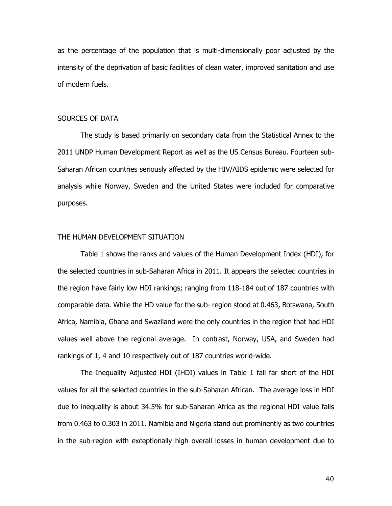as the percentage of the population that is multi-dimensionally poor adjusted by the intensity of the deprivation of basic facilities of clean water, improved sanitation and use of modern fuels.

# SOURCES OF DATA

The study is based primarily on secondary data from the Statistical Annex to the 2011 UNDP Human Development Report as well as the US Census Bureau. Fourteen sub-Saharan African countries seriously affected by the HIV/AIDS epidemic were selected for analysis while Norway, Sweden and the United States were included for comparative purposes.

## THE HUMAN DEVELOPMENT SITUATION

Table 1 shows the ranks and values of the Human Development Index (HDI), for the selected countries in sub-Saharan Africa in 2011. It appears the selected countries in the region have fairly low HDI rankings; ranging from 118-184 out of 187 countries with comparable data. While the HD value for the sub- region stood at 0.463, Botswana, South Africa, Namibia, Ghana and Swaziland were the only countries in the region that had HDI values well above the regional average. In contrast, Norway, USA, and Sweden had rankings of 1, 4 and 10 respectively out of 187 countries world-wide.

The Inequality Adjusted HDI (IHDI) values in Table 1 fall far short of the HDI values for all the selected countries in the sub-Saharan African. The average loss in HDI due to inequality is about 34.5% for sub-Saharan Africa as the regional HDI value falls from 0.463 to 0.303 in 2011. Namibia and Nigeria stand out prominently as two countries in the sub-region with exceptionally high overall losses in human development due to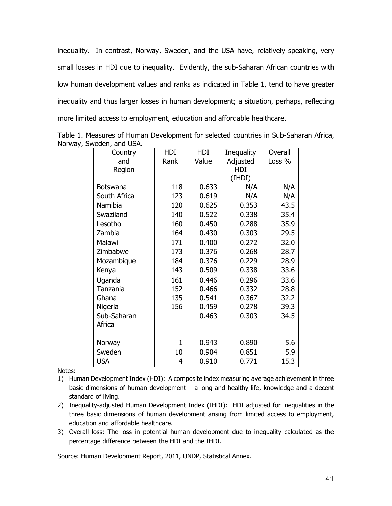inequality. In contrast, Norway, Sweden, and the USA have, relatively speaking, very small losses in HDI due to inequality. Evidently, the sub-Saharan African countries with low human development values and ranks as indicated in Table 1, tend to have greater inequality and thus larger losses in human development; a situation, perhaps, reflecting more limited access to employment, education and affordable healthcare.

| Country      | HDI          | HDI   | Inequality | Overall |
|--------------|--------------|-------|------------|---------|
| and          | Rank         | Value | Adjusted   | Loss %  |
| Region       |              |       | HDI        |         |
|              |              |       | (IHDI)     |         |
| Botswana     | 118          | 0.633 | N/A        | N/A     |
| South Africa | 123          | 0.619 | N/A        | N/A     |
| Namibia      | 120          | 0.625 | 0.353      | 43.5    |
| Swaziland    | 140          | 0.522 | 0.338      | 35.4    |
| Lesotho      | 160          | 0.450 | 0.288      | 35.9    |
| Zambia       | 164          | 0.430 | 0.303      | 29.5    |
| Malawi       | 171          | 0.400 | 0.272      | 32.0    |
| Zimbabwe     | 173          | 0.376 | 0.268      | 28.7    |
| Mozambique   | 184          | 0.376 | 0.229      | 28.9    |
| Kenya        | 143          | 0.509 | 0.338      | 33.6    |
| Uganda       | 161          | 0.446 | 0.296      | 33.6    |
| Tanzania     | 152          | 0.466 | 0.332      | 28.8    |
| Ghana        | 135          | 0.541 | 0.367      | 32.2    |
| Nigeria      | 156          | 0.459 | 0.278      | 39.3    |
| Sub-Saharan  |              | 0.463 | 0.303      | 34.5    |
| Africa       |              |       |            |         |
|              |              |       |            |         |
| Norway       | $\mathbf{1}$ | 0.943 | 0.890      | 5.6     |
| Sweden       | 10           | 0.904 | 0.851      | 5.9     |
| <b>USA</b>   | 4            | 0.910 | 0.771      | 15.3    |

Table 1. Measures of Human Development for selected countries in Sub-Saharan Africa, Norway, Sweden, and USA.

Notes:

- 1) Human Development Index (HDI): A composite index measuring average achievement in three basic dimensions of human development – a long and healthy life, knowledge and a decent standard of living.
- 2) Inequality-adjusted Human Development Index (IHDI): HDI adjusted for inequalities in the three basic dimensions of human development arising from limited access to employment, education and affordable healthcare.
- 3) Overall loss: The loss in potential human development due to inequality calculated as the percentage difference between the HDI and the IHDI.

Source: Human Development Report, 2011, UNDP, Statistical Annex.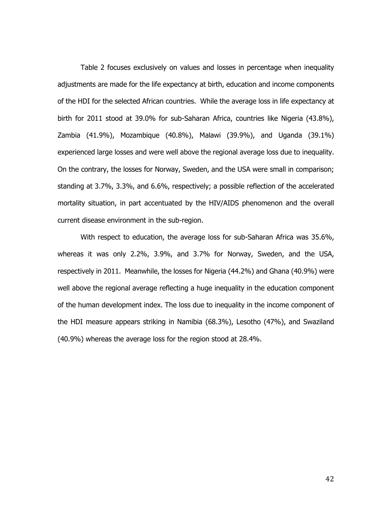Table 2 focuses exclusively on values and losses in percentage when inequality adjustments are made for the life expectancy at birth, education and income components of the HDI for the selected African countries. While the average loss in life expectancy at birth for 2011 stood at 39.0% for sub-Saharan Africa, countries like Nigeria (43.8%), Zambia (41.9%), Mozambique (40.8%), Malawi (39.9%), and Uganda (39.1%) experienced large losses and were well above the regional average loss due to inequality. On the contrary, the losses for Norway, Sweden, and the USA were small in comparison; standing at 3.7%, 3.3%, and 6.6%, respectively; a possible reflection of the accelerated mortality situation, in part accentuated by the HIV/AIDS phenomenon and the overall current disease environment in the sub-region.

With respect to education, the average loss for sub-Saharan Africa was 35.6%, whereas it was only 2.2%, 3.9%, and 3.7% for Norway, Sweden, and the USA, respectively in 2011. Meanwhile, the losses for Nigeria (44.2%) and Ghana (40.9%) were well above the regional average reflecting a huge inequality in the education component of the human development index. The loss due to inequality in the income component of the HDI measure appears striking in Namibia (68.3%), Lesotho (47%), and Swaziland (40.9%) whereas the average loss for the region stood at 28.4%.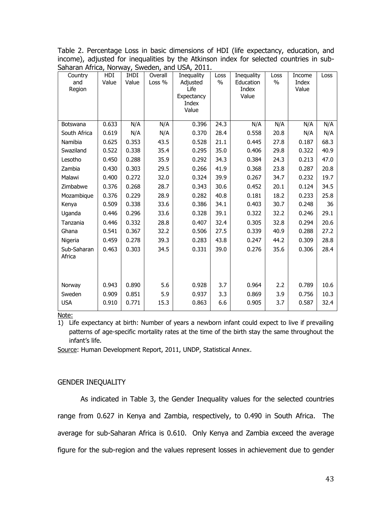Table 2. Percentage Loss in basic dimensions of HDI (life expectancy, education, and income), adjusted for inequalities by the Atkinson index for selected countries in sub-Saharan Africa, Norway, Sweden, and USA, 2011.

| Country<br>and<br>Region | HDI<br>Value | <b>IHDI</b><br>Value | Overall<br>Loss % | Inequality<br>Adjusted<br>Life<br>Expectancy<br>Index<br>Value | Loss<br>$\%$ | Inequality<br>Education<br>Index<br>Value | Loss<br>$\%$ | Income<br>Index<br>Value | Loss |
|--------------------------|--------------|----------------------|-------------------|----------------------------------------------------------------|--------------|-------------------------------------------|--------------|--------------------------|------|
| Botswana                 | 0.633        | N/A                  | N/A               | 0.396                                                          | 24.3         | N/A                                       | N/A          | N/A                      | N/A  |
| South Africa             | 0.619        | N/A                  | N/A               | 0.370                                                          | 28.4         | 0.558                                     | 20.8         | N/A                      | N/A  |
| Namibia                  | 0.625        | 0.353                | 43.5              | 0.528                                                          | 21.1         | 0.445                                     | 27.8         | 0.187                    | 68.3 |
| Swaziland                | 0.522        | 0.338                | 35.4              | 0.295                                                          | 35.0         | 0.406                                     | 29.8         | 0.322                    | 40.9 |
| Lesotho                  | 0.450        | 0.288                | 35.9              | 0.292                                                          | 34.3         | 0.384                                     | 24.3         | 0.213                    | 47.0 |
| Zambia                   | 0.430        | 0.303                | 29.5              | 0.266                                                          | 41.9         | 0.368                                     | 23.8         | 0.287                    | 20.8 |
| Malawi                   | 0.400        | 0.272                | 32.0              | 0.324                                                          | 39.9         | 0.267                                     | 34.7         | 0.232                    | 19.7 |
| Zimbabwe                 | 0.376        | 0.268                | 28.7              | 0.343                                                          | 30.6         | 0.452                                     | 20.1         | 0.124                    | 34.5 |
| Mozambique               | 0.376        | 0.229                | 28.9              | 0.282                                                          | 40.8         | 0.181                                     | 18.2         | 0.233                    | 25.8 |
| Kenya                    | 0.509        | 0.338                | 33.6              | 0.386                                                          | 34.1         | 0.403                                     | 30.7         | 0.248                    | 36   |
| Uganda                   | 0.446        | 0.296                | 33.6              | 0.328                                                          | 39.1         | 0.322                                     | 32.2         | 0.246                    | 29.1 |
| Tanzania                 | 0.446        | 0.332                | 28.8              | 0.407                                                          | 32.4         | 0.305                                     | 32.8         | 0.294                    | 20.6 |
| Ghana                    | 0.541        | 0.367                | 32.2              | 0.506                                                          | 27.5         | 0.339                                     | 40.9         | 0.288                    | 27.2 |
| Nigeria                  | 0.459        | 0.278                | 39.3              | 0.283                                                          | 43.8         | 0.247                                     | 44.2         | 0.309                    | 28.8 |
| Sub-Saharan<br>Africa    | 0.463        | 0.303                | 34.5              | 0.331                                                          | 39.0         | 0.276                                     | 35.6         | 0.306                    | 28.4 |
|                          |              |                      |                   |                                                                |              |                                           |              |                          |      |
| Norway                   | 0.943        | 0.890                | 5.6               | 0.928                                                          | 3.7          | 0.964                                     | 2.2          | 0.789                    | 10.6 |
| Sweden                   | 0.909        | 0.851                | 5.9               | 0.937                                                          | 3.3          | 0.869                                     | 3.9          | 0.756                    | 10.3 |
| <b>USA</b>               | 0.910        | 0.771                | 15.3              | 0.863                                                          | 6.6          | 0.905                                     | 3.7          | 0.587                    | 32.4 |

Note:

1) Life expectancy at birth: Number of years a newborn infant could expect to live if prevailing patterns of age-specific mortality rates at the time of the birth stay the same throughout the infant's life.

Source: Human Development Report, 2011, UNDP, Statistical Annex.

#### GENDER INEQUALITY

As indicated in Table 3, the Gender Inequality values for the selected countries range from 0.627 in Kenya and Zambia, respectively, to 0.490 in South Africa. The average for sub-Saharan Africa is 0.610. Only Kenya and Zambia exceed the average figure for the sub-region and the values represent losses in achievement due to gender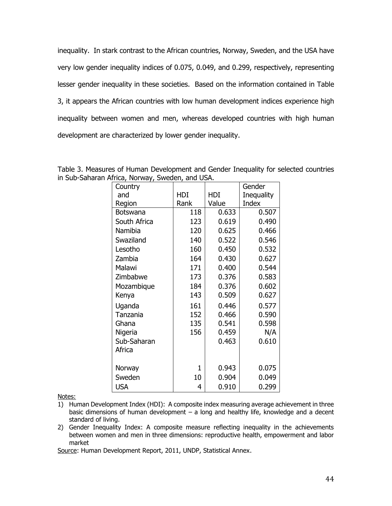inequality. In stark contrast to the African countries, Norway, Sweden, and the USA have very low gender inequality indices of 0.075, 0.049, and 0.299, respectively, representing lesser gender inequality in these societies. Based on the information contained in Table 3, it appears the African countries with low human development indices experience high inequality between women and men, whereas developed countries with high human development are characterized by lower gender inequality.

Table 3. Measures of Human Development and Gender Inequality for selected countries in Sub-Saharan Africa, Norway, Sweden, and USA.

| Country         |              |       | Gender     |
|-----------------|--------------|-------|------------|
| and             | HDI          | HDI   | Inequality |
| Region          | Rank         | Value | Index      |
| <b>Botswana</b> | 118          | 0.633 | 0.507      |
| South Africa    | 123          | 0.619 | 0.490      |
| Namibia         | 120          | 0.625 | 0.466      |
| Swaziland       | 140          | 0.522 | 0.546      |
| Lesotho         | 160          | 0.450 | 0.532      |
| Zambia          | 164          | 0.430 | 0.627      |
| Malawi          | 171          | 0.400 | 0.544      |
| Zimbabwe        | 173          | 0.376 | 0.583      |
| Mozambique      | 184          | 0.376 | 0.602      |
| Kenya           | 143          | 0.509 | 0.627      |
| Uganda          | 161          | 0.446 | 0.577      |
| Tanzania        | 152          | 0.466 | 0.590      |
| Ghana           | 135          | 0.541 | 0.598      |
| Nigeria         | 156          | 0.459 | N/A        |
| Sub-Saharan     |              | 0.463 | 0.610      |
| Africa          |              |       |            |
|                 |              |       |            |
| Norway          | $\mathbf{1}$ | 0.943 | 0.075      |
| Sweden          | 10           | 0.904 | 0.049      |
| <b>USA</b>      | 4            | 0.910 | 0.299      |

Notes:

- 1) Human Development Index (HDI): A composite index measuring average achievement in three basic dimensions of human development – a long and healthy life, knowledge and a decent standard of living.
- 2) Gender Inequality Index: A composite measure reflecting inequality in the achievements between women and men in three dimensions: reproductive health, empowerment and labor market

Source: Human Development Report, 2011, UNDP, Statistical Annex.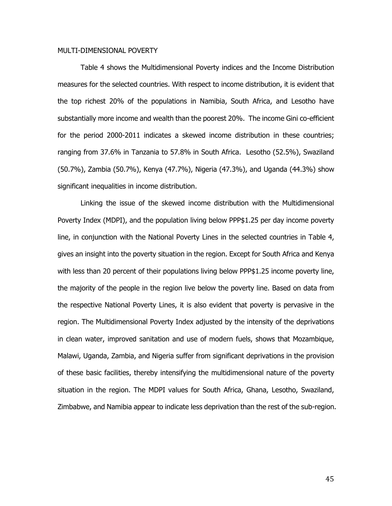## MULTI-DIMENSIONAL POVERTY

Table 4 shows the Multidimensional Poverty indices and the Income Distribution measures for the selected countries. With respect to income distribution, it is evident that the top richest 20% of the populations in Namibia, South Africa, and Lesotho have substantially more income and wealth than the poorest 20%. The income Gini co-efficient for the period 2000-2011 indicates a skewed income distribution in these countries; ranging from 37.6% in Tanzania to 57.8% in South Africa. Lesotho (52.5%), Swaziland (50.7%), Zambia (50.7%), Kenya (47.7%), Nigeria (47.3%), and Uganda (44.3%) show significant inequalities in income distribution.

Linking the issue of the skewed income distribution with the Multidimensional Poverty Index (MDPI), and the population living below PPP\$1.25 per day income poverty line, in conjunction with the National Poverty Lines in the selected countries in Table 4, gives an insight into the poverty situation in the region. Except for South Africa and Kenya with less than 20 percent of their populations living below PPP\$1.25 income poverty line, the majority of the people in the region live below the poverty line. Based on data from the respective National Poverty Lines, it is also evident that poverty is pervasive in the region. The Multidimensional Poverty Index adjusted by the intensity of the deprivations in clean water, improved sanitation and use of modern fuels, shows that Mozambique, Malawi, Uganda, Zambia, and Nigeria suffer from significant deprivations in the provision of these basic facilities, thereby intensifying the multidimensional nature of the poverty situation in the region. The MDPI values for South Africa, Ghana, Lesotho, Swaziland, Zimbabwe, and Namibia appear to indicate less deprivation than the rest of the sub-region.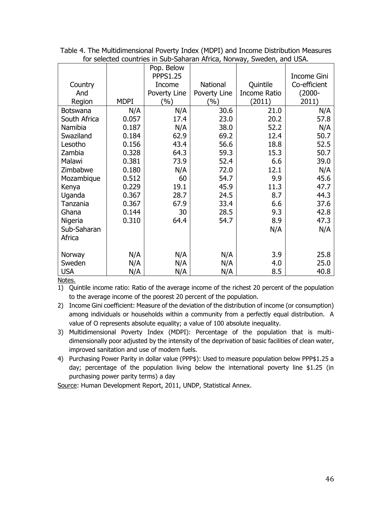|                 |             | Pop. Below      |              |              |              |
|-----------------|-------------|-----------------|--------------|--------------|--------------|
|                 |             | <b>PPPS1.25</b> |              |              | Income Gini  |
| Country         |             | Income          | National     | Quintile     | Co-efficient |
| And             |             |                 |              |              | $(2000 -$    |
|                 |             | Poverty Line    | Poverty Line | Income Ratio |              |
| Region          | <b>MDPI</b> | (%)             | (%)          | (2011)       | 2011)        |
| <b>Botswana</b> | N/A         | N/A             | 30.6         | 21.0         | N/A          |
| South Africa    | 0.057       | 17.4            | 23.0         | 20.2         | 57.8         |
| Namibia         | 0.187       | N/A             | 38.0         | 52.2         | N/A          |
| Swaziland       | 0.184       | 62.9            | 69.2         | 12.4         | 50.7         |
| Lesotho         | 0.156       | 43.4            | 56.6         | 18.8         | 52.5         |
| Zambia          | 0.328       | 64.3            | 59.3         | 15.3         | 50.7         |
| Malawi          | 0.381       | 73.9            | 52.4         | 6.6          | 39.0         |
| Zimbabwe        | 0.180       | N/A             | 72.0         | 12.1         | N/A          |
| Mozambique      | 0.512       | 60              | 54.7         | 9.9          | 45.6         |
| Kenya           | 0.229       | 19.1            | 45.9         | 11.3         | 47.7         |
| Uganda          | 0.367       | 28.7            | 24.5         | 8.7          | 44.3         |
| Tanzania        | 0.367       | 67.9            | 33.4         | 6.6          | 37.6         |
| Ghana           | 0.144       | 30              | 28.5         | 9.3          | 42.8         |
| Nigeria         | 0.310       | 64.4            | 54.7         | 8.9          | 47.3         |
| Sub-Saharan     |             |                 |              | N/A          | N/A          |
| Africa          |             |                 |              |              |              |
|                 |             |                 |              |              |              |
| Norway          | N/A         | N/A             | N/A          | 3.9          | 25.8         |
| Sweden          | N/A         | N/A             | N/A          | 4.0          | 25.0         |
| <b>USA</b>      | N/A         | N/A             | N/A          | 8.5          | 40.8         |

Table 4. The Multidimensional Poverty Index (MDPI) and Income Distribution Measures for selected countries in Sub-Saharan Africa, Norway, Sweden, and USA.

Notes.

1) Quintile income ratio: Ratio of the average income of the richest 20 percent of the population to the average income of the poorest 20 percent of the population.

2) Income Gini coefficient: Measure of the deviation of the distribution of income (or consumption) among individuals or households within a community from a perfectly equal distribution. A value of O represents absolute equality; a value of 100 absolute inequality.

- 3) Multidimensional Poverty Index (MDPI): Percentage of the population that is multidimensionally poor adjusted by the intensity of the deprivation of basic facilities of clean water, improved sanitation and use of modern fuels.
- 4) Purchasing Power Parity in dollar value (PPP\$): Used to measure population below PPP\$1.25 a day; percentage of the population living below the international poverty line \$1.25 (in purchasing power parity terms) a day

Source: Human Development Report, 2011, UNDP, Statistical Annex.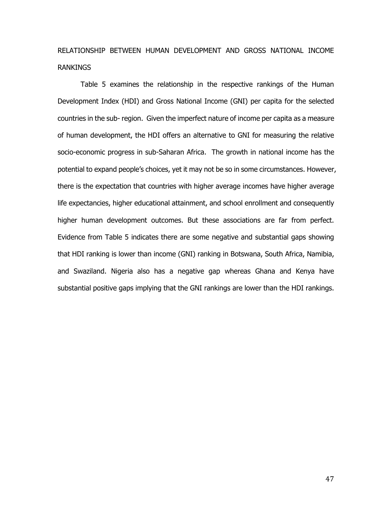# RELATIONSHIP BETWEEN HUMAN DEVELOPMENT AND GROSS NATIONAL INCOME RANKINGS

Table 5 examines the relationship in the respective rankings of the Human Development Index (HDI) and Gross National Income (GNI) per capita for the selected countries in the sub- region. Given the imperfect nature of income per capita as a measure of human development, the HDI offers an alternative to GNI for measuring the relative socio-economic progress in sub-Saharan Africa. The growth in national income has the potential to expand people's choices, yet it may not be so in some circumstances. However, there is the expectation that countries with higher average incomes have higher average life expectancies, higher educational attainment, and school enrollment and consequently higher human development outcomes. But these associations are far from perfect. Evidence from Table 5 indicates there are some negative and substantial gaps showing that HDI ranking is lower than income (GNI) ranking in Botswana, South Africa, Namibia, and Swaziland. Nigeria also has a negative gap whereas Ghana and Kenya have substantial positive gaps implying that the GNI rankings are lower than the HDI rankings.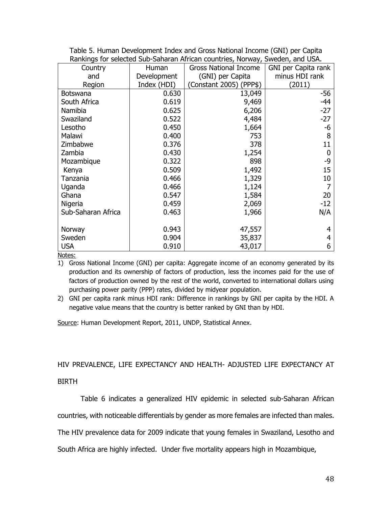|                    | <u>Rahmings for sciected Sub-Sanaran Annean Countries, Norway, Sweden, and OSA.</u> |                              |                     |  |  |  |  |
|--------------------|-------------------------------------------------------------------------------------|------------------------------|---------------------|--|--|--|--|
| Country            | Human                                                                               | <b>Gross National Income</b> | GNI per Capita rank |  |  |  |  |
| and                | Development                                                                         | (GNI) per Capita             | minus HDI rank      |  |  |  |  |
| Region             | Index (HDI)                                                                         | Constant 2005) (PPP\$)       | (2011)              |  |  |  |  |
| <b>Botswana</b>    | 0.630                                                                               | 13,049                       | -56                 |  |  |  |  |
| South Africa       | 0.619                                                                               | 9,469                        | -44                 |  |  |  |  |
| Namibia            | 0.625                                                                               | 6,206                        | $-27$               |  |  |  |  |
| Swaziland          | 0.522                                                                               | 4,484                        | $-27$               |  |  |  |  |
| Lesotho            | 0.450                                                                               | 1,664                        | -6                  |  |  |  |  |
| Malawi             | 0.400                                                                               | 753                          | 8                   |  |  |  |  |
| Zimbabwe           | 0.376                                                                               | 378                          | 11                  |  |  |  |  |
| Zambia             | 0.430                                                                               | 1,254                        | $\mathbf 0$         |  |  |  |  |
| Mozambique         | 0.322                                                                               | 898                          | -9                  |  |  |  |  |
| Kenya              | 0.509                                                                               | 1,492                        | 15                  |  |  |  |  |
| Tanzania           | 0.466                                                                               | 1,329                        | 10                  |  |  |  |  |
| Uganda             | 0.466                                                                               | 1,124                        | 7                   |  |  |  |  |
| Ghana              | 0.547                                                                               | 1,584                        | 20                  |  |  |  |  |
| Nigeria            | 0.459                                                                               | 2,069                        | $-12$               |  |  |  |  |
| Sub-Saharan Africa | 0.463                                                                               | 1,966                        | N/A                 |  |  |  |  |
|                    |                                                                                     |                              |                     |  |  |  |  |
| Norway             | 0.943                                                                               | 47,557                       | 4                   |  |  |  |  |
| Sweden             | 0.904                                                                               | 35,837                       | 4                   |  |  |  |  |
| <b>USA</b>         | 0.910                                                                               | 43,017                       | 6                   |  |  |  |  |

Table 5. Human Development Index and Gross National Income (GNI) per Capita Rankings for selected Sub-Saharan African countries, Norway, Sweden, and USA.

Notes:

1) Gross National Income (GNI) per capita: Aggregate income of an economy generated by its production and its ownership of factors of production, less the incomes paid for the use of factors of production owned by the rest of the world, converted to international dollars using purchasing power parity (PPP) rates, divided by midyear population.

2) GNI per capita rank minus HDI rank: Difference in rankings by GNI per capita by the HDI. A negative value means that the country is better ranked by GNI than by HDI.

Source: Human Development Report, 2011, UNDP, Statistical Annex.

HIV PREVALENCE, LIFE EXPECTANCY AND HEALTH- ADJUSTED LIFE EXPECTANCY AT

# BIRTH

Table 6 indicates a generalized HIV epidemic in selected sub-Saharan African

countries, with noticeable differentials by gender as more females are infected than males.

The HIV prevalence data for 2009 indicate that young females in Swaziland, Lesotho and

South Africa are highly infected. Under five mortality appears high in Mozambique,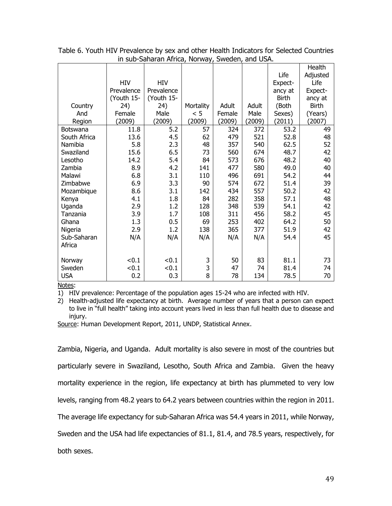|                 |            |            |           |        |        |              | Health       |
|-----------------|------------|------------|-----------|--------|--------|--------------|--------------|
|                 |            |            |           |        |        | Life         | Adjusted     |
|                 | <b>HIV</b> | <b>HIV</b> |           |        |        | Expect-      | Life         |
|                 | Prevalence | Prevalence |           |        |        | ancy at      | Expect-      |
|                 | (Youth 15- | (Youth 15- |           |        |        | <b>Birth</b> | ancy at      |
| Country         | 24)        | 24)        | Mortality | Adult  | Adult  | (Both        | <b>Birth</b> |
| And             | Female     | Male       | < 5       | Female | Male   | Sexes)       | (Years)      |
| Region          | (2009)     | (2009)     | (2009)    | (2009) | (2009) | (2011)       | (2007)       |
| <b>Botswana</b> | 11.8       | 5.2        | 57        | 324    | 372    | 53.2         | 49           |
| South Africa    | 13.6       | 4.5        | 62        | 479    | 521    | 52.8         | 48           |
| Namibia         | 5.8        | 2.3        | 48        | 357    | 540    | 62.5         | 52           |
| Swaziland       | 15.6       | 6.5        | 73        | 560    | 674    | 48.7         | 42           |
| Lesotho         | 14.2       | 5.4        | 84        | 573    | 676    | 48.2         | 40           |
| Zambia          | 8.9        | 4.2        | 141       | 477    | 580    | 49.0         | 40           |
| Malawi          | 6.8        | 3.1        | 110       | 496    | 691    | 54.2         | 44           |
| Zimbabwe        | 6.9        | 3.3        | 90        | 574    | 672    | 51.4         | 39           |
| Mozambique      | 8.6        | 3.1        | 142       | 434    | 557    | 50.2         | 42           |
| Kenya           | 4.1        | 1.8        | 84        | 282    | 358    | 57.1         | 48           |
| Uganda          | 2.9        | 1.2        | 128       | 348    | 539    | 54.1         | 42           |
| Tanzania        | 3.9        | 1.7        | 108       | 311    | 456    | 58.2         | 45           |
| Ghana           | 1.3        | 0.5        | 69        | 253    | 402    | 64.2         | 50           |
| Nigeria         | 2.9        | 1.2        | 138       | 365    | 377    | 51.9         | 42           |
| Sub-Saharan     | N/A        | N/A        | N/A       | N/A    | N/A    | 54.4         | 45           |
| Africa          |            |            |           |        |        |              |              |
|                 |            |            |           |        |        |              |              |
| Norway          | < 0.1      | < 0.1      | 3         | 50     | 83     | 81.1         | 73           |
| Sweden          | < 0.1      | < 0.1      | 3         | 47     | 74     | 81.4         | 74           |
| <b>USA</b>      | 0.2        | 0.3        | 8         | 78     | 134    | 78.5         | 70           |
|                 |            |            |           |        |        |              |              |

Table 6. Youth HIV Prevalence by sex and other Health Indicators for Selected Countries in sub-Saharan Africa, Norway, Sweden, and USA.

Notes:

1) HIV prevalence: Percentage of the population ages 15-24 who are infected with HIV.

2) Health-adjusted life expectancy at birth. Average number of years that a person can expect to live in "full health" taking into account years lived in less than full health due to disease and injury.

Source: Human Development Report, 2011, UNDP, Statistical Annex.

Zambia, Nigeria, and Uganda. Adult mortality is also severe in most of the countries but particularly severe in Swaziland, Lesotho, South Africa and Zambia. Given the heavy mortality experience in the region, life expectancy at birth has plummeted to very low levels, ranging from 48.2 years to 64.2 years between countries within the region in 2011. The average life expectancy for sub-Saharan Africa was 54.4 years in 2011, while Norway, Sweden and the USA had life expectancies of 81.1, 81.4, and 78.5 years, respectively, for

both sexes.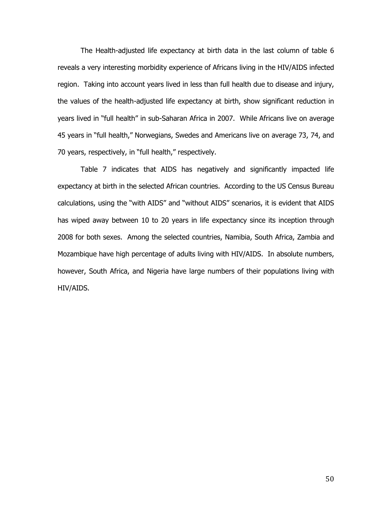The Health-adjusted life expectancy at birth data in the last column of table 6 reveals a very interesting morbidity experience of Africans living in the HIV/AIDS infected region. Taking into account years lived in less than full health due to disease and injury, the values of the health-adjusted life expectancy at birth, show significant reduction in years lived in "full health" in sub-Saharan Africa in 2007. While Africans live on average 45 years in "full health," Norwegians, Swedes and Americans live on average 73, 74, and 70 years, respectively, in "full health," respectively.

Table 7 indicates that AIDS has negatively and significantly impacted life expectancy at birth in the selected African countries. According to the US Census Bureau calculations, using the "with AIDS" and "without AIDS" scenarios, it is evident that AIDS has wiped away between 10 to 20 years in life expectancy since its inception through 2008 for both sexes. Among the selected countries, Namibia, South Africa, Zambia and Mozambique have high percentage of adults living with HIV/AIDS. In absolute numbers, however, South Africa, and Nigeria have large numbers of their populations living with HIV/AIDS.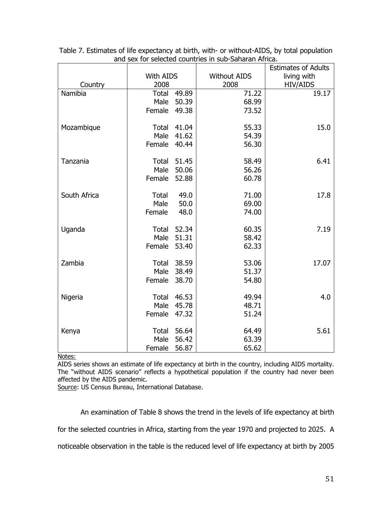|              |                  |       |                     | <b>Estimates of Adults</b> |
|--------------|------------------|-------|---------------------|----------------------------|
|              | <b>With AIDS</b> |       | <b>Without AIDS</b> | living with                |
| Country      | 2008             |       | 2008                | <b>HIV/AIDS</b>            |
| Namibia      | <b>Total</b>     | 49.89 | 71.22               | 19.17                      |
|              | Male             | 50.39 | 68.99               |                            |
|              | Female           | 49.38 | 73.52               |                            |
| Mozambique   | Total            | 41.04 | 55.33               | 15.0                       |
|              | Male             | 41.62 | 54.39               |                            |
|              | Female           | 40.44 | 56.30               |                            |
| Tanzania     | <b>Total</b>     | 51.45 | 58.49               | 6.41                       |
|              | Male             | 50.06 | 56.26               |                            |
|              | Female           | 52.88 | 60.78               |                            |
| South Africa | <b>Total</b>     | 49.0  | 71.00               | 17.8                       |
|              | Male             | 50.0  | 69.00               |                            |
|              | Female           | 48.0  | 74.00               |                            |
| Uganda       | Total            | 52.34 | 60.35               | 7.19                       |
|              | Male             | 51.31 | 58.42               |                            |
|              | Female           | 53.40 | 62.33               |                            |
| Zambia       | Total            | 38.59 | 53.06               | 17.07                      |
|              | Male             | 38.49 | 51.37               |                            |
|              | Female           | 38.70 | 54.80               |                            |
| Nigeria      | <b>Total</b>     | 46.53 | 49.94               | 4.0                        |
|              | Male             | 45.78 | 48.71               |                            |
|              | Female           | 47.32 | 51.24               |                            |
| Kenya        | <b>Total</b>     | 56.64 | 64.49               | 5.61                       |
|              | Male             | 56.42 | 63.39               |                            |
|              | Female           | 56.87 | 65.62               |                            |

| Table 7. Estimates of life expectancy at birth, with- or without-AIDS, by total population |  |
|--------------------------------------------------------------------------------------------|--|
| and sex for selected countries in sub-Saharan Africa.                                      |  |

Notes:

AIDS series shows an estimate of life expectancy at birth in the country, including AIDS mortality. The "without AIDS scenario" reflects a hypothetical population if the country had never been affected by the AIDS pandemic.

Source: US Census Bureau, International Database.

An examination of Table 8 shows the trend in the levels of life expectancy at birth for the selected countries in Africa, starting from the year 1970 and projected to 2025. A

noticeable observation in the table is the reduced level of life expectancy at birth by 2005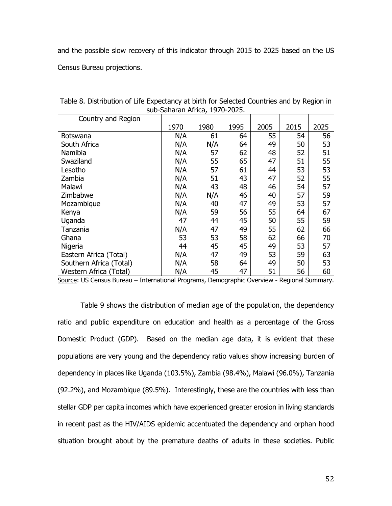and the possible slow recovery of this indicator through 2015 to 2025 based on the US

Census Bureau projections.

| Country and Region      |      |      |      |      |      |      |
|-------------------------|------|------|------|------|------|------|
|                         | 1970 | 1980 | 1995 | 2005 | 2015 | 2025 |
| <b>Botswana</b>         | N/A  | 61   | 64   | 55   | 54   | 56   |
| South Africa            | N/A  | N/A  | 64   | 49   | 50   | 53   |
| Namibia                 | N/A  | 57   | 62   | 48   | 52   | 51   |
| Swaziland               | N/A  | 55   | 65   | 47   | 51   | 55   |
| Lesotho                 | N/A  | 57   | 61   | 44   | 53   | 53   |
| Zambia                  | N/A  | 51   | 43   | 47   | 52   | 55   |
| Malawi                  | N/A  | 43   | 48   | 46   | 54   | 57   |
| Zimbabwe                | N/A  | N/A  | 46   | 40   | 57   | 59   |
| Mozambique              | N/A  | 40   | 47   | 49   | 53   | 57   |
| Kenya                   | N/A  | 59   | 56   | 55   | 64   | 67   |
| Uganda                  | 47   | 44   | 45   | 50   | 55   | 59   |
| Tanzania                | N/A  | 47   | 49   | 55   | 62   | 66   |
| Ghana                   | 53   | 53   | 58   | 62   | 66   | 70   |
| Nigeria                 | 44   | 45   | 45   | 49   | 53   | 57   |
| Eastern Africa (Total)  | N/A  | 47   | 49   | 53   | 59   | 63   |
| Southern Africa (Total) | N/A  | 58   | 64   | 49   | 50   | 53   |
| Western Africa (Total)  | N/A  | 45   | 47   | 51   | 56   | 60   |

Table 8. Distribution of Life Expectancy at birth for Selected Countries and by Region in sub-Saharan Africa, 1970-2025.

Source: US Census Bureau - International Programs, Demographic Overview - Regional Summary.

Table 9 shows the distribution of median age of the population, the dependency ratio and public expenditure on education and health as a percentage of the Gross Domestic Product (GDP). Based on the median age data, it is evident that these populations are very young and the dependency ratio values show increasing burden of dependency in places like Uganda (103.5%), Zambia (98.4%), Malawi (96.0%), Tanzania (92.2%), and Mozambique (89.5%). Interestingly, these are the countries with less than stellar GDP per capita incomes which have experienced greater erosion in living standards in recent past as the HIV/AIDS epidemic accentuated the dependency and orphan hood situation brought about by the premature deaths of adults in these societies. Public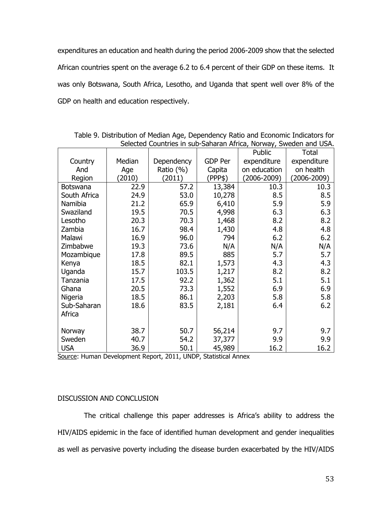expenditures an education and health during the period 2006-2009 show that the selected African countries spent on the average 6.2 to 6.4 percent of their GDP on these items. It was only Botswana, South Africa, Lesotho, and Uganda that spent well over 8% of the GDP on health and education respectively.

| Selected Countries in sub-Sanaran Africa, Norway, Sweden and USA. |        |            |                |                 |             |  |
|-------------------------------------------------------------------|--------|------------|----------------|-----------------|-------------|--|
|                                                                   |        |            |                | Public          | Total       |  |
| Country                                                           | Median | Dependency | <b>GDP Per</b> | expenditure     | expenditure |  |
| And                                                               | Age    | Ratio (%)  | Capita         | on education    | on health   |  |
| Region                                                            | (2010) | (2011)     | (PPP\$)        | $(2006 - 2009)$ | (2006-2009) |  |
| <b>Botswana</b>                                                   | 22.9   | 57.2       | 13,384         | 10.3            | 10.3        |  |
| South Africa                                                      | 24.9   | 53.0       | 10,278         | 8.5             | 8.5         |  |
| Namibia                                                           | 21.2   | 65.9       | 6,410          | 5.9             | 5.9         |  |
| Swaziland                                                         | 19.5   | 70.5       | 4,998          | 6.3             | 6.3         |  |
| Lesotho                                                           | 20.3   | 70.3       | 1,468          | 8.2             | 8.2         |  |
| Zambia                                                            | 16.7   | 98.4       | 1,430          | 4.8             | 4.8         |  |
| Malawi                                                            | 16.9   | 96.0       | 794            | 6.2             | 6.2         |  |
| Zimbabwe                                                          | 19.3   | 73.6       | N/A            | N/A             | N/A         |  |
| Mozambique                                                        | 17.8   | 89.5       | 885            | 5.7             | 5.7         |  |
| Kenya                                                             | 18.5   | 82.1       | 1,573          | 4.3             | 4.3         |  |
| Uganda                                                            | 15.7   | 103.5      | 1,217          | 8.2             | 8.2         |  |
| Tanzania                                                          | 17.5   | 92.2       | 1,362          | 5.1             | 5.1         |  |
| Ghana                                                             | 20.5   | 73.3       | 1,552          | 6.9             | 6.9         |  |
| Nigeria                                                           | 18.5   | 86.1       | 2,203          | 5.8             | 5.8         |  |
| Sub-Saharan                                                       | 18.6   | 83.5       | 2,181          | 6.4             | 6.2         |  |
| Africa                                                            |        |            |                |                 |             |  |
|                                                                   |        |            |                |                 |             |  |
| Norway                                                            | 38.7   | 50.7       | 56,214         | 9.7             | 9.7         |  |
| Sweden                                                            | 40.7   | 54.2       | 37,377         | 9.9             | 9.9         |  |
| <b>USA</b>                                                        | 36.9   | 50.1       | 45,989         | 16.2            | 16.2        |  |

Table 9. Distribution of Median Age, Dependency Ratio and Economic Indicators for Selected Countries in sub-Saharan Africa, Norway, Sweden and USA.

Source: Human Development Report, 2011, UNDP, Statistical Annex

# DISCUSSION AND CONCLUSION

 The critical challenge this paper addresses is Africa's ability to address the HIV/AIDS epidemic in the face of identified human development and gender inequalities as well as pervasive poverty including the disease burden exacerbated by the HIV/AIDS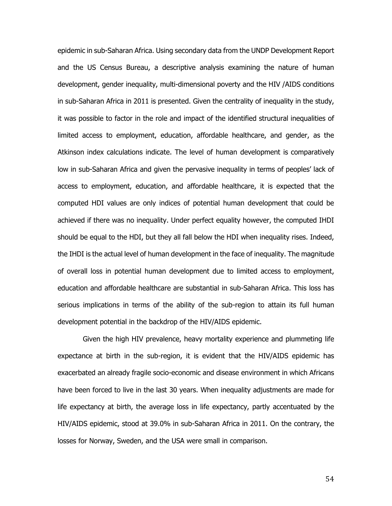epidemic in sub-Saharan Africa. Using secondary data from the UNDP Development Report and the US Census Bureau, a descriptive analysis examining the nature of human development, gender inequality, multi-dimensional poverty and the HIV /AIDS conditions in sub-Saharan Africa in 2011 is presented. Given the centrality of inequality in the study, it was possible to factor in the role and impact of the identified structural inequalities of limited access to employment, education, affordable healthcare, and gender, as the Atkinson index calculations indicate. The level of human development is comparatively low in sub-Saharan Africa and given the pervasive inequality in terms of peoples' lack of access to employment, education, and affordable healthcare, it is expected that the computed HDI values are only indices of potential human development that could be achieved if there was no inequality. Under perfect equality however, the computed IHDI should be equal to the HDI, but they all fall below the HDI when inequality rises. Indeed, the IHDI is the actual level of human development in the face of inequality. The magnitude of overall loss in potential human development due to limited access to employment, education and affordable healthcare are substantial in sub-Saharan Africa. This loss has serious implications in terms of the ability of the sub-region to attain its full human development potential in the backdrop of the HIV/AIDS epidemic.

Given the high HIV prevalence, heavy mortality experience and plummeting life expectance at birth in the sub-region, it is evident that the HIV/AIDS epidemic has exacerbated an already fragile socio-economic and disease environment in which Africans have been forced to live in the last 30 years. When inequality adjustments are made for life expectancy at birth, the average loss in life expectancy, partly accentuated by the HIV/AIDS epidemic, stood at 39.0% in sub-Saharan Africa in 2011. On the contrary, the losses for Norway, Sweden, and the USA were small in comparison.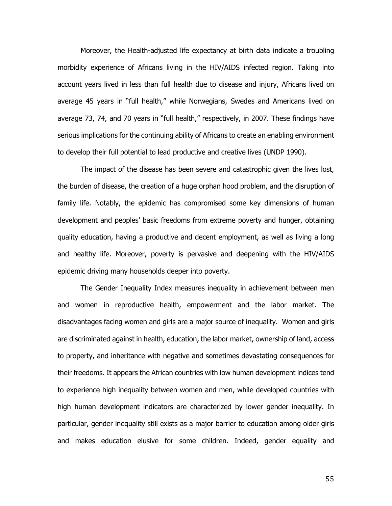Moreover, the Health-adjusted life expectancy at birth data indicate a troubling morbidity experience of Africans living in the HIV/AIDS infected region. Taking into account years lived in less than full health due to disease and injury, Africans lived on average 45 years in "full health," while Norwegians, Swedes and Americans lived on average 73, 74, and 70 years in "full health," respectively, in 2007. These findings have serious implications for the continuing ability of Africans to create an enabling environment to develop their full potential to lead productive and creative lives (UNDP 1990).

The impact of the disease has been severe and catastrophic given the lives lost, the burden of disease, the creation of a huge orphan hood problem, and the disruption of family life. Notably, the epidemic has compromised some key dimensions of human development and peoples' basic freedoms from extreme poverty and hunger, obtaining quality education, having a productive and decent employment, as well as living a long and healthy life. Moreover, poverty is pervasive and deepening with the HIV/AIDS epidemic driving many households deeper into poverty.

The Gender Inequality Index measures inequality in achievement between men and women in reproductive health, empowerment and the labor market. The disadvantages facing women and girls are a major source of inequality. Women and girls are discriminated against in health, education, the labor market, ownership of land, access to property, and inheritance with negative and sometimes devastating consequences for their freedoms. It appears the African countries with low human development indices tend to experience high inequality between women and men, while developed countries with high human development indicators are characterized by lower gender inequality. In particular, gender inequality still exists as a major barrier to education among older girls and makes education elusive for some children. Indeed, gender equality and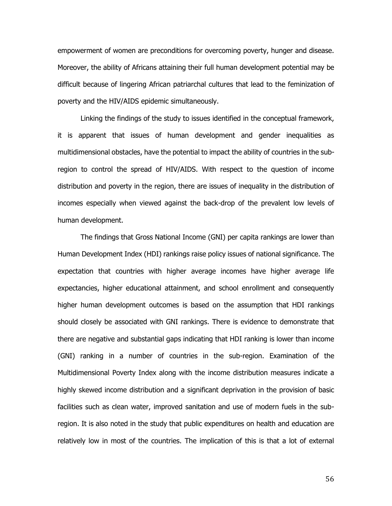empowerment of women are preconditions for overcoming poverty, hunger and disease. Moreover, the ability of Africans attaining their full human development potential may be difficult because of lingering African patriarchal cultures that lead to the feminization of poverty and the HIV/AIDS epidemic simultaneously.

Linking the findings of the study to issues identified in the conceptual framework, it is apparent that issues of human development and gender inequalities as multidimensional obstacles, have the potential to impact the ability of countries in the subregion to control the spread of HIV/AIDS. With respect to the question of income distribution and poverty in the region, there are issues of inequality in the distribution of incomes especially when viewed against the back-drop of the prevalent low levels of human development.

The findings that Gross National Income (GNI) per capita rankings are lower than Human Development Index (HDI) rankings raise policy issues of national significance. The expectation that countries with higher average incomes have higher average life expectancies, higher educational attainment, and school enrollment and consequently higher human development outcomes is based on the assumption that HDI rankings should closely be associated with GNI rankings. There is evidence to demonstrate that there are negative and substantial gaps indicating that HDI ranking is lower than income (GNI) ranking in a number of countries in the sub-region. Examination of the Multidimensional Poverty Index along with the income distribution measures indicate a highly skewed income distribution and a significant deprivation in the provision of basic facilities such as clean water, improved sanitation and use of modern fuels in the subregion. It is also noted in the study that public expenditures on health and education are relatively low in most of the countries. The implication of this is that a lot of external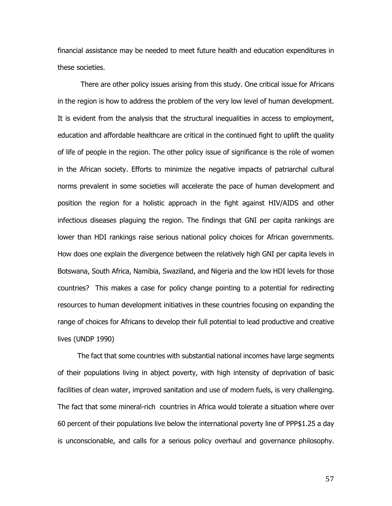financial assistance may be needed to meet future health and education expenditures in these societies.

There are other policy issues arising from this study. One critical issue for Africans in the region is how to address the problem of the very low level of human development. It is evident from the analysis that the structural inequalities in access to employment, education and affordable healthcare are critical in the continued fight to uplift the quality of life of people in the region. The other policy issue of significance is the role of women in the African society. Efforts to minimize the negative impacts of patriarchal cultural norms prevalent in some societies will accelerate the pace of human development and position the region for a holistic approach in the fight against HIV/AIDS and other infectious diseases plaguing the region. The findings that GNI per capita rankings are lower than HDI rankings raise serious national policy choices for African governments. How does one explain the divergence between the relatively high GNI per capita levels in Botswana, South Africa, Namibia, Swaziland, and Nigeria and the low HDI levels for those countries? This makes a case for policy change pointing to a potential for redirecting resources to human development initiatives in these countries focusing on expanding the range of choices for Africans to develop their full potential to lead productive and creative lives (UNDP 1990)

 The fact that some countries with substantial national incomes have large segments of their populations living in abject poverty, with high intensity of deprivation of basic facilities of clean water, improved sanitation and use of modern fuels, is very challenging. The fact that some mineral-rich countries in Africa would tolerate a situation where over 60 percent of their populations live below the international poverty line of PPP\$1.25 a day is unconscionable, and calls for a serious policy overhaul and governance philosophy.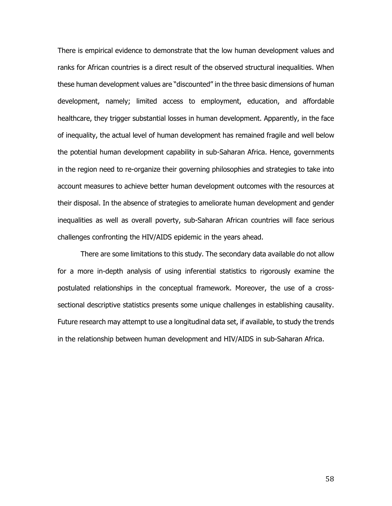There is empirical evidence to demonstrate that the low human development values and ranks for African countries is a direct result of the observed structural inequalities. When these human development values are "discounted" in the three basic dimensions of human development, namely; limited access to employment, education, and affordable healthcare, they trigger substantial losses in human development. Apparently, in the face of inequality, the actual level of human development has remained fragile and well below the potential human development capability in sub-Saharan Africa. Hence, governments in the region need to re-organize their governing philosophies and strategies to take into account measures to achieve better human development outcomes with the resources at their disposal. In the absence of strategies to ameliorate human development and gender inequalities as well as overall poverty, sub-Saharan African countries will face serious challenges confronting the HIV/AIDS epidemic in the years ahead.

There are some limitations to this study. The secondary data available do not allow for a more in-depth analysis of using inferential statistics to rigorously examine the postulated relationships in the conceptual framework. Moreover, the use of a crosssectional descriptive statistics presents some unique challenges in establishing causality. Future research may attempt to use a longitudinal data set, if available, to study the trends in the relationship between human development and HIV/AIDS in sub-Saharan Africa.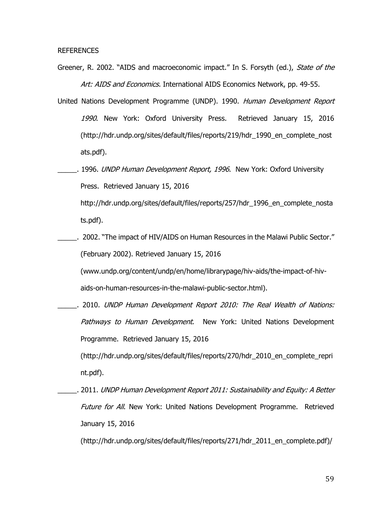REFERENCES

- Greener, R. 2002. "AIDS and macroeconomic impact." In S. Forsyth (ed.), State of the Art: AIDS and Economics. International AIDS Economics Network, pp. 49-55.
- United Nations Development Programme (UNDP). 1990. Human Development Report 1990. New York: Oxford University Press. Retrieved January 15, 2016 (http://hdr.undp.org/sites/default/files/reports/219/hdr\_1990\_en\_complete\_nost ats.pdf).
- . 1996. *UNDP Human Development Report, 1996*. New York: Oxford University Press. Retrieved January 15, 2016 http://hdr.undp.org/sites/default/files/reports/257/hdr\_1996\_en\_complete\_nosta

ts.pdf).

\_\_\_\_\_. 2002. "The impact of HIV/AIDS on Human Resources in the Malawi Public Sector." (February 2002). Retrieved January 15, 2016

(www.undp.org/content/undp/en/home/librarypage/hiv-aids/the-impact-of-hivaids-on-human-resources-in-the-malawi-public-sector.html).

\_\_\_\_\_. 2010. UNDP Human Development Report 2010: The Real Wealth of Nations: Pathways to Human Development. New York: United Nations Development Programme. Retrieved January 15, 2016

(http://hdr.undp.org/sites/default/files/reports/270/hdr\_2010\_en\_complete\_repri nt.pdf).

\_\_\_\_\_. 2011. UNDP Human Development Report 2011: Sustainability and Equity: A Better Future for All. New York: United Nations Development Programme. Retrieved January 15, 2016

(http://hdr.undp.org/sites/default/files/reports/271/hdr\_2011\_en\_complete.pdf)/